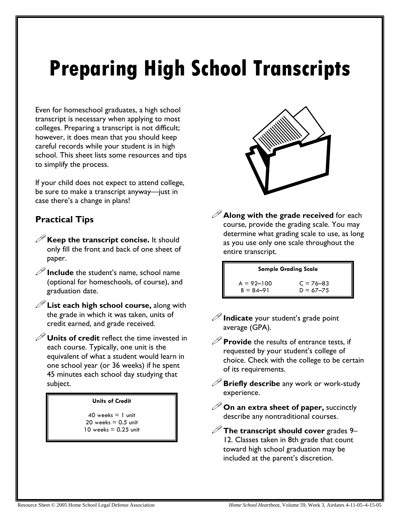# **Preparing High School Transcripts**

Even for homeschool graduates, a high school transcript is necessary when applying to most colleges. Preparing a transcript is not difficult; however, it does mean that you should keep careful records while your student is in high school. This sheet lists some resources and tips to simplify the process.

If your child does not expect to attend college, be sure to make a transcript anyway—just in case there's a change in plans!

## **Practical Tips**

- **Keep the transcript concise.** It should only fill the front and back of one sheet of paper.
- $\mathscr{D}$  **Include** the student's name, school name (optional for homeschools, of course), and graduation date.
- **List each high school course,** along with the grade in which it was taken, units of credit earned, and grade received.

**Units of credit** reflect the time invested in each course. Typically, one unit is the equivalent of what a student would learn in one school year (or 36 weeks) if he spent 45 minutes each school day studying that subject.

#### **Units of Credit**

 $40$  weeks  $= 1$  unit  $20$  weeks  $= 0.5$  unit  $10$  weeks  $= 0.25$  unit



**Sample Grading Scale** 

| $A = 92 - 100$ | $C = 76 - 83$ |
|----------------|---------------|
| $B = 84 - 91$  | $D = 67 - 75$ |

- *P* Indicate your student's grade point average (GPA).
- $\mathscr P$  **Provide** the results of entrance tests, if requested by your student's college of choice. Check with the college to be certain of its requirements.
- **Briefly describe** any work or work-study experience.
- **On an extra sheet of paper,** succinctly describe any nontraditional courses.
- **The transcript should cover** grades 9– 12. Classes taken in 8th grade that count toward high school graduation may be included at the parent's discretion.